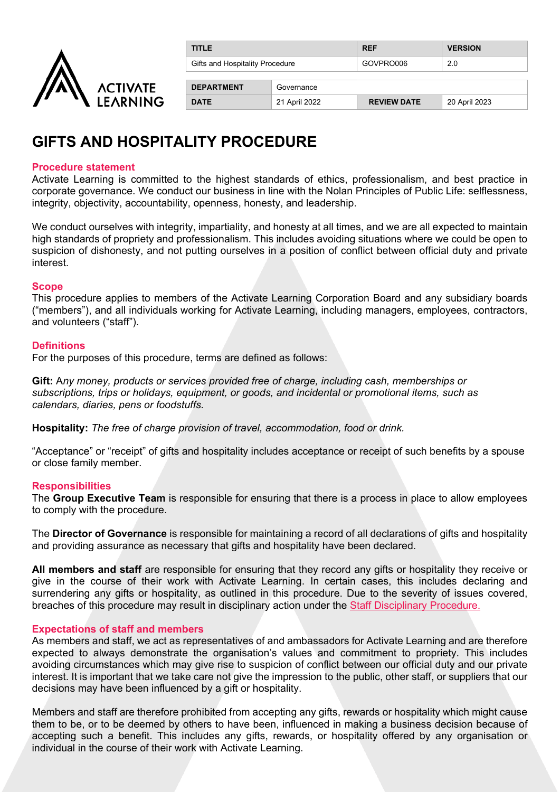

| <b>TITLE</b>                    |               | <b>REF</b>         | <b>VERSION</b> |
|---------------------------------|---------------|--------------------|----------------|
| Gifts and Hospitality Procedure |               | GOVPRO006          | 2.0            |
|                                 |               |                    |                |
| <b>DEPARTMENT</b>               | Governance    |                    |                |
| <b>DATE</b>                     | 21 April 2022 | <b>REVIEW DATE</b> | 20 April 2023  |

### **GIFTS AND HOSPITALITY PROCEDURE**

#### **Procedure statement**

Activate Learning is committed to the highest standards of ethics, professionalism, and best practice in corporate governance. We conduct our business in line with the Nolan Principles of Public Life: selflessness, integrity, objectivity, accountability, openness, honesty, and leadership.

We conduct ourselves with integrity, impartiality, and honesty at all times, and we are all expected to maintain high standards of propriety and professionalism. This includes avoiding situations where we could be open to suspicion of dishonesty, and not putting ourselves in a position of conflict between official duty and private interest.

#### **Scope**

This procedure applies to members of the Activate Learning Corporation Board and any subsidiary boards ("members"), and all individuals working for Activate Learning, including managers, employees, contractors, and volunteers ("staff").

#### **Definitions**

For the purposes of this procedure, terms are defined as follows:

**Gift:** A*ny money, products or services provided free of charge, including cash, memberships or subscriptions, trips or holidays, equipment, or goods, and incidental or promotional items, such as calendars, diaries, pens or foodstuffs.*

**Hospitality:** *The free of charge provision of travel, accommodation, food or drink.*

"Acceptance" or "receipt" of gifts and hospitality includes acceptance or receipt of such benefits by a spouse or close family member.

#### **Responsibilities**

The **Group Executive Team** is responsible for ensuring that there is a process in place to allow employees to comply with the procedure.

The **Director of Governance** is responsible for maintaining a record of all declarations of gifts and hospitality and providing assurance as necessary that gifts and hospitality have been declared.

**All members and staff** are responsible for ensuring that they record any gifts or hospitality they receive or give in the course of their work with Activate Learning. In certain cases, this includes declaring and surrendering any gifts or hospitality, as outlined in this procedure. Due to the severity of issues covered, breaches of this procedure may result in disciplinary action under the [Staff Disciplinary Procedure.](https://activatelearning.sharepoint.com/sites/Policies/Shared%20Documents/Disciplinary%20Procedure.pdf?)

#### **Expectations of staff and members**

As members and staff, we act as representatives of and ambassadors for Activate Learning and are therefore expected to always demonstrate the organisation's values and commitment to propriety. This includes avoiding circumstances which may give rise to suspicion of conflict between our official duty and our private interest. It is important that we take care not give the impression to the public, other staff, or suppliers that our decisions may have been influenced by a gift or hospitality.

Members and staff are therefore prohibited from accepting any gifts, rewards or hospitality which might cause them to be, or to be deemed by others to have been, influenced in making a business decision because of accepting such a benefit. This includes any gifts, rewards, or hospitality offered by any organisation or individual in the course of their work with Activate Learning.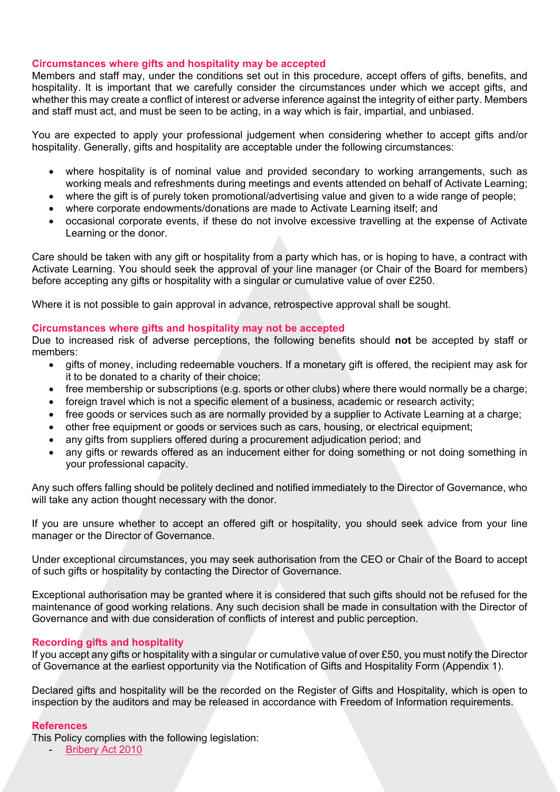#### **Circumstances where gifts and hospitality may be accepted**

Members and staff may, under the conditions set out in this procedure, accept offers of gifts, benefits, and hospitality. It is important that we carefully consider the circumstances under which we accept gifts, and whether this may create a conflict of interest or adverse inference against the integrity of either party. Members and staff must act, and must be seen to be acting, in a way which is fair, impartial, and unbiased.

You are expected to apply your professional judgement when considering whether to accept gifts and/or hospitality. Generally, gifts and hospitality are acceptable under the following circumstances:

- where hospitality is of nominal value and provided secondary to working arrangements, such as working meals and refreshments during meetings and events attended on behalf of Activate Learning;
- where the gift is of purely token promotional/advertising value and given to a wide range of people;
- where corporate endowments/donations are made to Activate Learning itself; and
- occasional corporate events, if these do not involve excessive travelling at the expense of Activate Learning or the donor.

Care should be taken with any gift or hospitality from a party which has, or is hoping to have, a contract with Activate Learning. You should seek the approval of your line manager (or Chair of the Board for members) before accepting any gifts or hospitality with a singular or cumulative value of over £250.

Where it is not possible to gain approval in advance, retrospective approval shall be sought.

#### **Circumstances where gifts and hospitality may not be accepted**

Due to increased risk of adverse perceptions, the following benefits should **not** be accepted by staff or members:

- gifts of money, including redeemable vouchers. If a monetary gift is offered, the recipient may ask for it to be donated to a charity of their choice;
- free membership or subscriptions (e.g. sports or other clubs) where there would normally be a charge;
- foreign travel which is not a specific element of a business, academic or research activity;
- free goods or services such as are normally provided by a supplier to Activate Learning at a charge;
- other free equipment or goods or services such as cars, housing, or electrical equipment;
- any gifts from suppliers offered during a procurement adjudication period; and
- any gifts or rewards offered as an inducement either for doing something or not doing something in your professional capacity.

Any such offers falling should be politely declined and notified immediately to the Director of Governance, who will take any action thought necessary with the donor.

If you are unsure whether to accept an offered gift or hospitality, you should seek advice from your line manager or the Director of Governance.

Under exceptional circumstances, you may seek authorisation from the CEO or Chair of the Board to accept of such gifts or hospitality by contacting the Director of Governance.

Exceptional authorisation may be granted where it is considered that such gifts should not be refused for the maintenance of good working relations. Any such decision shall be made in consultation with the Director of Governance and with due consideration of conflicts of interest and public perception.

#### **Recording gifts and hospitality**

If you accept any gifts or hospitality with a singular or cumulative value of over £50, you must notify the Director of Governance at the earliest opportunity via the Notification of Gifts and Hospitality Form (Appendix 1).

Declared gifts and hospitality will be the recorded on the Register of Gifts and Hospitality, which is open to inspection by the auditors and may be released in accordance with Freedom of Information requirements.

#### **References**

This Policy complies with the following legislation:

- [Bribery Act 2010](http://www.legislation.gov.uk/ukpga/2010/23/contents)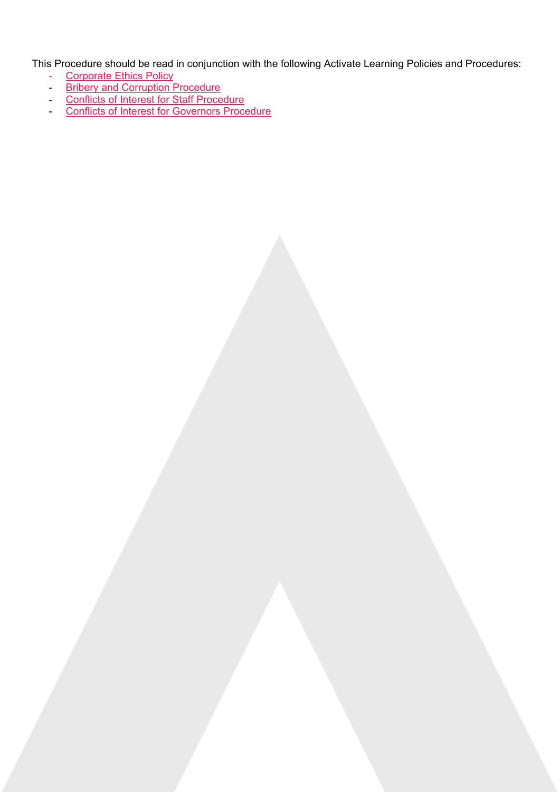This Procedure should be read in conjunction with the following Activate Learning Policies and Procedures:

- [Corporate Ethics Policy](https://activatelearning.sharepoint.com/sites/Policies/Shared%20Documents/Corporate%20Ethics%20Policy.pdf)
- **[Bribery and Corruption Procedure](https://activatelearning.sharepoint.com/sites/Policies/Shared%20Documents/Bribery%20and%20Corruption%20Procedure.pdf)**
- [Conflicts of Interest for Staff](https://activatelearning.sharepoint.com/sites/Policies/Shared%20Documents/Conflicts%20of%20Interest%20for%20Staff%20Procedure.pdf) Procedure
- [Conflicts of Interest for Governors Procedure](https://activatelearning.sharepoint.com/sites/Policies/Shared%20Documents/Conflicts%20of%20Interest%20for%20Governors%20Procedure.pdf?)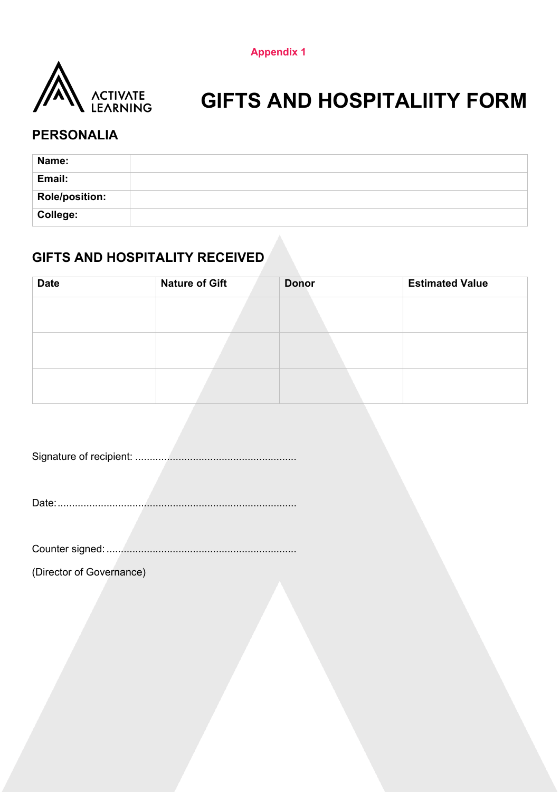**Appendix 1**



# **GIFTS AND HOSPITALIITY FORM**

### **PERSONALIA**

| Name:                 |  |
|-----------------------|--|
| Email:                |  |
| <b>Role/position:</b> |  |
| College:              |  |

### **GIFTS AND HOSPITALITY RECEIVED**

| <b>Date</b> | <b>Nature of Gift</b> | <b>Donor</b> | <b>Estimated Value</b> |
|-------------|-----------------------|--------------|------------------------|
|             |                       |              |                        |
|             |                       |              |                        |
|             |                       |              |                        |
|             |                       |              |                        |
|             |                       |              |                        |
|             |                       |              |                        |

Signature of recipient: ........................................................

Date:...................................................................................

Counter signed: ..................................................................

(Director of Governance)